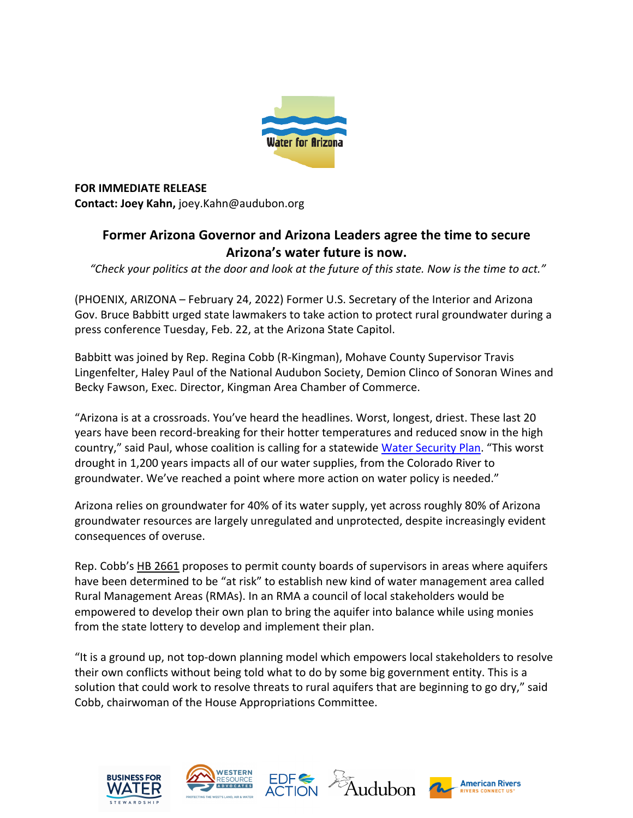

**FOR IMMEDIATE RELEASE Contact: Joey Kahn,** joey.Kahn@audubon.org

## **Former Arizona Governor and Arizona Leaders agree the time to secure Arizona's water future is now.**

*"Check your politics at the door and look at the future of this state. Now is the time to act."*

(PHOENIX, ARIZONA – February 24, 2022) Former U.S. Secretary of the Interior and Arizona Gov. Bruce Babbitt urged state lawmakers to take action to protect rural groundwater during a press conference Tuesday, Feb. 22, at the Arizona State Capitol.

Babbitt was joined by Rep. Regina Cobb (R-Kingman), Mohave County Supervisor Travis Lingenfelter, Haley Paul of the National Audubon Society, Demion Clinco of Sonoran Wines and Becky Fawson, Exec. Director, Kingman Area Chamber of Commerce.

"Arizona is at a crossroads. You've heard the headlines. Worst, longest, driest. These last 20 years have been record-breaking for their hotter temperatures and reduced snow in the high country," said Paul, whose coalition is calling for a statewide Water Security Plan. "This worst drought in 1,200 years impacts all of our water supplies, from the Colorado River to groundwater. We've reached a point where more action on water policy is needed."

Arizona relies on groundwater for 40% of its water supply, yet across roughly 80% of Arizona groundwater resources are largely unregulated and unprotected, despite increasingly evident consequences of overuse.

Rep. Cobb's HB 2661 proposes to permit county boards of supervisors in areas where aquifers have been determined to be "at risk" to establish new kind of water management area called Rural Management Areas (RMAs). In an RMA a council of local stakeholders would be empowered to develop their own plan to bring the aquifer into balance while using monies from the state lottery to develop and implement their plan.

"It is a ground up, not top-down planning model which empowers local stakeholders to resolve their own conflicts without being told what to do by some big government entity. This is a solution that could work to resolve threats to rural aquifers that are beginning to go dry," said Cobb, chairwoman of the House Appropriations Committee.